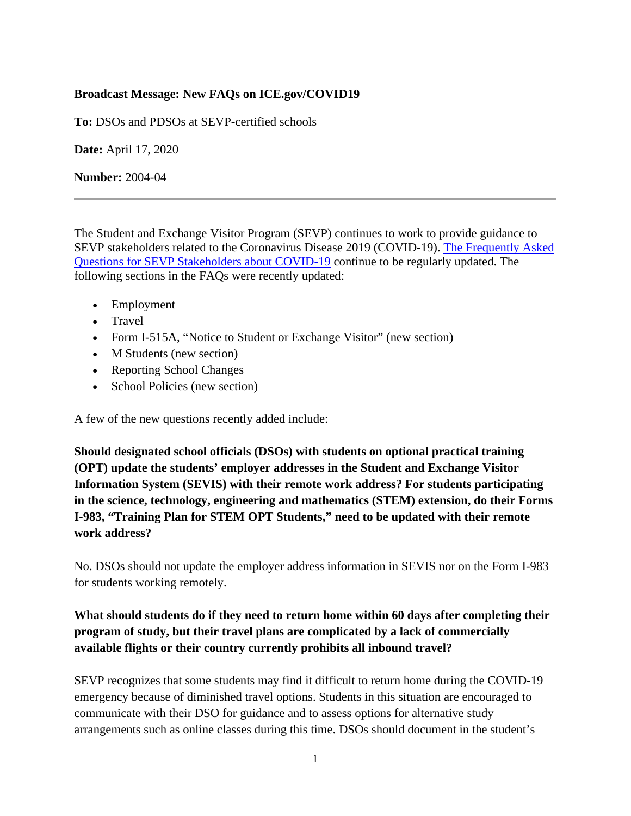#### **Broadcast Message: New FAQs on ICE.gov/COVID19**

**To:** DSOs and PDSOs at SEVP-certified schools

**Date:** April 17, 2020

**Number:** 2004-04

The Student and Exchange Visitor Program (SEVP) continues to work to provide guidance to SEVP stakeholders related to the Coronavirus Disease 2019 (COVID-19). [The Frequently Asked](https://www.ice.gov/sites/default/files/documents/Document/2020/COVID-19FAQ.pdf)  [Questions for SEVP Stakeholders about COVID-19](https://www.ice.gov/sites/default/files/documents/Document/2020/COVID-19FAQ.pdf) continue to be regularly updated. The following sections in the FAQs were recently updated:

- Employment
- Travel
- Form I-515A, "Notice to Student or Exchange Visitor" (new section)
- M Students (new section)
- Reporting School Changes
- School Policies (new section)

A few of the new questions recently added include:

**Should designated school officials (DSOs) with students on optional practical training (OPT) update the students' employer addresses in the Student and Exchange Visitor Information System (SEVIS) with their remote work address? For students participating in the science, technology, engineering and mathematics (STEM) extension, do their Forms I-983, "Training Plan for STEM OPT Students," need to be updated with their remote work address?**

No. DSOs should not update the employer address information in SEVIS nor on the Form I-983 for students working remotely.

# **What should students do if they need to return home within 60 days after completing their program of study, but their travel plans are complicated by a lack of commercially available flights or their country currently prohibits all inbound travel?**

SEVP recognizes that some students may find it difficult to return home during the COVID-19 emergency because of diminished travel options. Students in this situation are encouraged to communicate with their DSO for guidance and to assess options for alternative study arrangements such as online classes during this time. DSOs should document in the student's